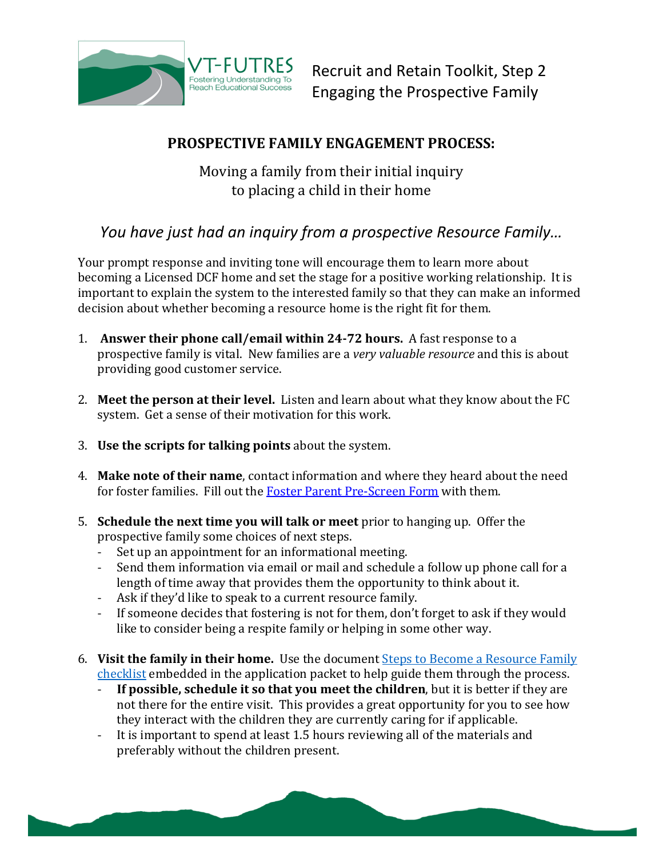

Recruit and Retain Toolkit, Step 2 Engaging the Prospective Family

## **PROSPECTIVE FAMILY ENGAGEMENT PROCESS:**

Moving a family from their initial inquiry to placing a child in their home

## *You have just had an inquiry from a prospective Resource Family…*

Your prompt response and inviting tone will encourage them to learn more about becoming a Licensed DCF home and set the stage for a positive working relationship. It is important to explain the system to the interested family so that they can make an informed decision about whether becoming a resource home is the right fit for them.

- 1. **Answer their phone call/email within 24-72 hours.** A fast response to a prospective family is vital. New families are a *very valuable resource* and this is about providing good customer service.
- 2. **Meet the person at their level.** Listen and learn about what they know about the FC system. Get a sense of their motivation for this work.
- 3. **Use the scripts for talking points** about the system.
- 4. **Make note of their name**, contact information and where they heard about the need for foster families. Fill out the [Foster Parent Pre-Screen Form](http://vtfutres.org/wp-content/uploads/2014/01/2-R26-Resource-Family-Pre-Screen-form2.0.docx) with them.
- 5. **Schedule the next time you will talk or meet** prior to hanging up. Offer the prospective family some choices of next steps.
	- Set up an appointment for an informational meeting.<br>- Send them information via email or mail and schedul
	- Send them information via email or mail and schedule a follow up phone call for a length of time away that provides them the opportunity to think about it.
	- Ask if they'd like to speak to a current resource family.
	- If someone decides that fostering is not for them, don't forget to ask if they would like to consider being a respite family or helping in some other way.
- 6. **Visit the family in their home.** Use the document [Steps to Become a Resource Family](http://intra.dcf.state.vt.us/fsd/forms/foster-kinship-and-group-care/621-application-for-care-of-children-in-custody-8.2010/view)  [checklist](http://intra.dcf.state.vt.us/fsd/forms/foster-kinship-and-group-care/621-application-for-care-of-children-in-custody-8.2010/view) embedded in the application packet to help guide them through the process.
	- **If possible, schedule it so that you meet the children**, but it is better if they are not there for the entire visit. This provides a great opportunity for you to see how they interact with the children they are currently caring for if applicable.
	- It is important to spend at least 1.5 hours reviewing all of the materials and preferably without the children present.